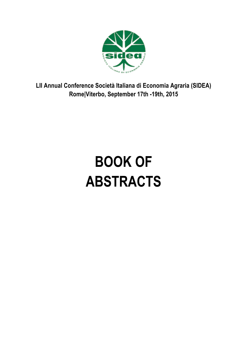

**LII Annual Conference Società Italiana di Economia Agraria (SIDEA) Rome|Viterbo, September 17th -19th, 2015**

# **BOOK OF ABSTRACTS**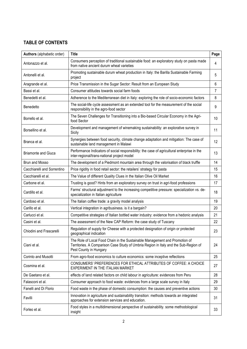# **TABLE OF CONTENTS**

| Authors (alphabetic order)  | <b>Title</b>                                                                                                                                                                                  | Page |
|-----------------------------|-----------------------------------------------------------------------------------------------------------------------------------------------------------------------------------------------|------|
| Antonazzo et al.            | Consumers perception of traditional sustainable food: an exploratory study on pasta made<br>from native ancient durum wheat varieties                                                         | 4    |
| Antonelli et al.            | Promoting sustainable durum wheat production in Italy: the Barilla Sustainable Farming<br>project                                                                                             | 5    |
| Aragrande et al.            | Price Transmission in the Sugar Sector: Result from an European Study                                                                                                                         | 6    |
| Bassi et al.                | Consumer attitudes towards social farm foods                                                                                                                                                  | 7    |
| Benedetti et al.            | Adherence to the Mediterranean diet in Italy: exploring the role of socio-economic factors                                                                                                    | 8    |
| Benedetto                   | The social-life cycle assessment as an extended tool for the measurement of the social<br>responsibility in the agro-food sector                                                              | 9    |
| Borrello et al.             | The Seven Challenges for Transitioning into a Bio-based Circular Economy in the Agri-<br>food Sector                                                                                          | 10   |
| Borsellino et al.           | Development and management of winemaking sustainability: an explorative survey in<br>Sicily                                                                                                   | 11   |
| Branca et al.               | Synergies between food security, climate change adaptation and mitigation: The case of<br>sustainable land management in Malawi                                                               | 12   |
| <b>Briamonte and Giuca</b>  | Performance Indicators of social responsibility: the case of agricultural enterprise in the<br>inter-regional/trans-national project model                                                    | 13   |
| Brun and Mosso              | The development of a Piedmont mountain area through the valorisation of black truffle                                                                                                         | 14   |
| Cacchiarelli and Sorrentino | Price rigidity in food retail sector: the retailers' strategy for pasta                                                                                                                       | 15   |
| Cacchiarelli et al.         | The Value of different Quality Clues in the Italian Olive Oil Market                                                                                                                          | 16   |
| Carbone et al.              | Trusting is good? Hints from an exploratory survey on trust in agri-food professions                                                                                                          | 17   |
| Cardillo et al.             | Farms' structural adjustment to the increasing competitive pressure: specialization vs. de-<br>specialization in Italian agriculture                                                          | 18   |
| Cardoso et al.              | The Italian coffee trade: a gravity model analysis                                                                                                                                            | 19   |
| Carillo et al.              | Vertical integration in agribusiness. is it a bargain?                                                                                                                                        | 20   |
| Carlucci et al.             | Competitive strategies of Italian bottled water industry: evidence from a hedonic analysis                                                                                                    | 21   |
| Casini et al.               | The assessment of the New CAP Reform: the case study of Tuscany                                                                                                                               | 22   |
| Chiodini and Frascarelli    | Regulation of supply for Cheese with a protected designation of origin or protected<br>geographical indication                                                                                | 23   |
| Ciani et al.                | The Role of Local Food Chain in the Sustainable Management and Promotion of<br>Territories. A Comparison Case Study of Umbria Region in Italy and the Sub-Region of<br>Pest County in Hungary | 24   |
| Corinto and Musotti         | From agro-food economics to culture economics: some inceptive reflections                                                                                                                     | 25   |
| Cosmina et al.              | CONSUMERS' PREFERENCES FOR ETHICAL ATTRIBUTES OF COFFEE: A CHOICE<br>EXPERIMENT IN THE ITALIAN MARKET                                                                                         | 27   |
| De Gaetano et al.           | effects of land related factors on child labour in agriculture: evidences from Peru                                                                                                           | 28   |
| Falasconi et al.            | Consumer approach to food waste: evidences from a large scale survey in Italy                                                                                                                 | 29   |
| Fanelli and Di Florio       | Food waste in the phase of domestic consumption: the causes and preventive actions                                                                                                            | 30   |
| Favilli                     | Innovation in agriculture and sustainability transition: methods towards an integrated<br>approaches for extension services and education.                                                    | 31   |
| Forleo et al.               | Food styles in a multidimensional perspective of sustainability. some methodological<br>insight                                                                                               | 33   |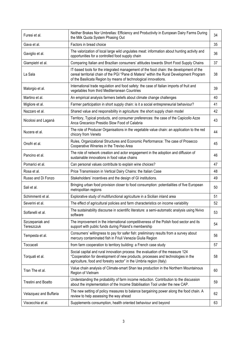| Furesi et al.                 | Neither Brakes Nor Umbrellas: Efficiency and Productivity in European Dairy Farms During<br>the Milk Quota System Phasing Out                                                                                                                          | 34 |
|-------------------------------|--------------------------------------------------------------------------------------------------------------------------------------------------------------------------------------------------------------------------------------------------------|----|
| Gava et al.                   | Factors in bread choice                                                                                                                                                                                                                                | 35 |
| Gaviglio et al.               | The valorization of local large wild ungulates meat: information about hunting activity and<br>opportunities for a controlled food supply chain                                                                                                        | 36 |
| Giampietri et al.             | Comparing Italian and Brazilian consumers' attitudes towards Short Food Supply Chains                                                                                                                                                                  | 37 |
| La Sala                       | IT-based tools for the integrated management of the food chain: the development of the<br>cereal territorial chain of the PGI "Pane di Matera" within the Rural Development Program<br>of the Basilicata Region by means of technological innovations. | 38 |
| Malorgio et al.               | International trade regulation and food safety: the case of Italian imports of fruit and<br>vegetables from third Mediterranean Countries                                                                                                              | 39 |
| Martino et al.                | An empirical analysis farmers beliefs about climate change challenges                                                                                                                                                                                  | 40 |
| Migliore et al.               | Farmer participation in short supply chain: is it a social entrepreneurial behaviour?                                                                                                                                                                  | 41 |
| Nazzaro et al.                | Shared value and responsibility in agriculture: the short supply chain model                                                                                                                                                                           | 42 |
| Nicolosi and Laganà           | Territory, Typical products, and consumer preferences: the case of the Capicollo Azze<br>Anca Grecanico Presidio Slow Food of Calabria                                                                                                                 | 43 |
| Nucera et al.                 | The role of Producer Organisations in the vegetable value chain: an application to the red<br>chicory from Veneto                                                                                                                                      | 44 |
| Onofri et al.                 | Rules, Organizational Structures and Economic Performance: The case of Prosecco<br>Cooperative Wineries in the Treviso Area                                                                                                                            | 45 |
| Pancino et al.                | The role of network creation and actor engagement in the adoption and diffusion of<br>sustainable innovations in food value chains                                                                                                                     | 46 |
| Pomarici et al.               | Can personal values contribute to explain wine choices?                                                                                                                                                                                                | 47 |
| Rosa et al.                   | Price Transmission in Vertical Dairy Chains: the Italian Case                                                                                                                                                                                          | 48 |
| Russo and Di Fonzo            | Stakeholders' incentives and the design of GI institutions.                                                                                                                                                                                            | 49 |
| Sali et al.                   | Bringing urban food provision closer to food consumption: potentialities of five European<br>metropolitan regions                                                                                                                                      | 50 |
| Schimmenti et al.             | Explorative study of multifunctional agriculture in a Sicilian inland area                                                                                                                                                                             | 51 |
| Severini et al.               | The effect of agricultural policies and farm characteristics on income variability                                                                                                                                                                     | 52 |
| Solfanelli et al.             | The sustainability discourse in scientific literature: a semi-automatic analysis using Nvivo<br>software                                                                                                                                               | 53 |
| Szczepaniak and<br>Tereszczuk | The improvement in the international competitiveness of the Polish food sector and its<br>support with public funds during Poland's membership                                                                                                         | 54 |
| Tempesta et al.               | Consumers' willingness to pay for safer fish: preliminary results from a survey about<br>mercury contaminated fish in Friuli Venezia Giulia Region                                                                                                     | 56 |
| Toccaceli                     | from farm cooperation to territory building: a French case study                                                                                                                                                                                       | 57 |
| Torquati et al.               | Social capital and rural innovation process: the evaluation of the measure 124<br>"Cooperation for development of new products, processes and technologies in the<br>agriculture, food and forestry sector" in the Umbria region (Italy)               | 58 |
| Tran The et al.               | Value chain analysis of Climate-smart Shan tea production in the Northern Mountainous<br>Region of Vietnam                                                                                                                                             | 60 |
| Trestini and Boatto           | Understanding the probability of farm income reduction. Contribution to the discussion<br>about the implementation of the Income Stabilisation Tool under the new CAP.                                                                                 | 59 |
| Velazquez and Buffaria        | The new setting of policy measures to balance bargaining power along the food chain. A<br>review to help assessing the way ahead                                                                                                                       | 62 |
| Viscecchia et al.             | Supplements consumption, health oriented behaviour and beyond                                                                                                                                                                                          | 63 |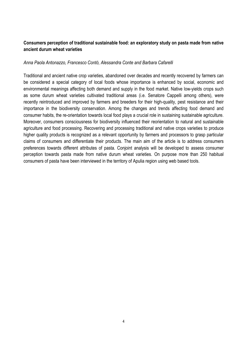# **Consumers perception of traditional sustainable food: an exploratory study on pasta made from native ancient durum wheat varieties**

#### *Anna Paola Antonazzo, Francesco Contò, Alessandra Conte and Barbara Cafarelli*

Traditional and ancient native crop varieties, abandoned over decades and recently recovered by farmers can be considered a special category of local foods whose importance is enhanced by social, economic and environmental meanings affecting both demand and supply in the food market. Native low-yields crops such as some durum wheat varieties cultivated traditional areas (i.e. Senatore Cappelli among others), were recently reintroduced and improved by farmers and breeders for their high-quality, pest resistance and their importance in the biodiversity conservation. Among the changes and trends affecting food demand and consumer habits, the re-orientation towards local food plays a crucial role in sustaining sustainable agriculture. Moreover, consumers consciousness for biodiversity influenced their reorientation to natural and sustainable agriculture and food processing. Recovering and processing traditional and native crops varieties to produce higher quality products is recognized as a relevant opportunity by farmers and processors to grasp particular claims of consumers and differentiate their products. The main aim of the article is to address consumers preferences towards different attributes of pasta. Conjoint analysis will be developed to assess consumer perception towards pasta made from native durum wheat varieties. On purpose more than 250 habitual consumers of pasta have been interviewed in the territory of Apulia region using web based tools.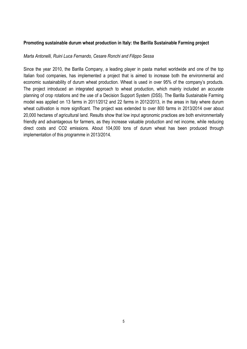## **Promoting sustainable durum wheat production in Italy: the Barilla Sustainable Farming project**

#### *Marta Antonelli, Ruini Luca Fernando, Cesare Ronchi and Filippo Sessa*

Since the year 2010, the Barilla Company, a leading player in pasta market worldwide and one of the top Italian food companies, has implemented a project that is aimed to increase both the environmental and economic sustainability of durum wheat production. Wheat is used in over 95% of the company's products. The project introduced an integrated approach to wheat production, which mainly included an accurate planning of crop rotations and the use of a Decision Support System (DSS). The Barilla Sustainable Farming model was applied on 13 farms in 2011/2012 and 22 farms in 2012/2013, in the areas in Italy where durum wheat cultivation is more significant. The project was extended to over 800 farms in 2013/2014 over about 20,000 hectares of agricultural land. Results show that low input agronomic practices are both environmentally friendly and advantageous for farmers, as they increase valuable production and net income, while reducing direct costs and CO2 emissions. About 104,000 tons of durum wheat has been produced through implementation of this programme in 2013/2014.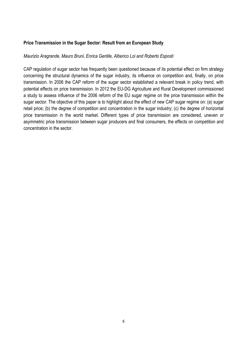## **Price Transmission in the Sugar Sector: Result from an European Study**

#### *Maurizio Aragrande, Mauro Bruni, Enrica Gentile, Alberico Loi and Roberto Esposti*

CAP regulation of sugar sector has frequently been questioned because of its potential effect on firm strategy concerning the structural dynamics of the sugar industry, its influence on competition and, finally, on price transmission. In 2006 the CAP reform of the sugar sector established a relevant break in policy trend, with potential effects on price transmission. In 2012 the EU-DG Agriculture and Rural Development commissioned a study to assess influence of the 2006 reform of the EU sugar regime on the price transmission within the sugar sector. The objective of this paper is to highlight about the effect of new CAP sugar regime on: (a) sugar retail price; (b) the degree of competition and concentration in the sugar industry; (c) the degree of horizontal price transmission in the world market. Different types of price transmission are considered, uneven or asymmetric price transmission between sugar producers and final consumers, the effects on competition and concentration in the sector.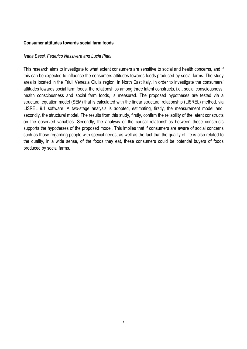#### **Consumer attitudes towards social farm foods**

#### *Ivana Bassi, Federico Nassivera and Lucia Piani*

This research aims to investigate to what extent consumers are sensitive to social and health concerns, and if this can be expected to influence the consumers attitudes towards foods produced by social farms. The study area is located in the Friuli Venezia Giulia region, in North East Italy. In order to investigate the consumers' attitudes towards social farm foods, the relationships among three latent constructs, i.e., social consciousness, health consciousness and social farm foods, is measured. The proposed hypotheses are tested via a structural equation model (SEM) that is calculated with the linear structural relationship (LISREL) method, via LISREL 9.1 software. A two-stage analysis is adopted, estimating, firstly, the measurement model and, secondly, the structural model. The results from this study, firstly, confirm the reliability of the latent constructs on the observed variables. Secondly, the analysis of the causal relationships between these constructs supports the hypotheses of the proposed model. This implies that if consumers are aware of social concerns such as those regarding people with special needs, as well as the fact that the quality of life is also related to the quality, in a wide sense, of the foods they eat, these consumers could be potential buyers of foods produced by social farms.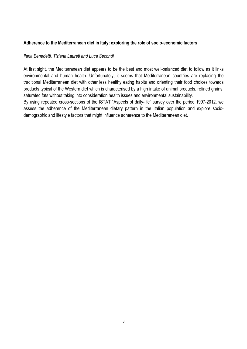## **Adherence to the Mediterranean diet in Italy: exploring the role of socio-economic factors**

#### *Ilaria Benedetti, Tiziana Laureti and Luca Secondi*

At first sight, the Mediterranean diet appears to be the best and most well-balanced diet to follow as it links environmental and human health. Unfortunately, it seems that Mediterranean countries are replacing the traditional Mediterranean diet with other less healthy eating habits and orienting their food choices towards products typical of the Western diet which is characterised by a high intake of animal products, refined grains, saturated fats without taking into consideration health issues and environmental sustainability.

By using repeated cross-sections of the ISTAT "Aspects of daily-life" survey over the period 1997-2012, we assess the adherence of the Mediterranean dietary pattern in the Italian population and explore sociodemographic and lifestyle factors that might influence adherence to the Mediterranean diet.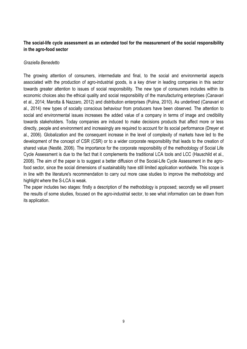# **The social-life cycle assessment as an extended tool for the measurement of the social responsibility in the agro-food sector**

## *Graziella Benedetto*

The growing attention of consumers, intermediate and final, to the social and environmental aspects associated with the production of agro-industrial goods, is a key driver in leading companies in this sector towards greater attention to issues of social responsibility. The new type of consumers includes within its economic choices also the ethical quality and social responsibility of the manufacturing enterprises (Canavari et al., 2014; Marotta & Nazzaro, 2012) and distribution enterprises (Pulina, 2010). As underlined (Canavari et al., 2014) new types of socially conscious behaviour from producers have been observed. The attention to social and environmental issues increases the added value of a company in terms of image and credibility towards stakeholders. Today companies are induced to make decisions products that affect more or less directly, people and environment and increasingly are required to account for its social performance (Dreyer et al., 2006). Globalization and the consequent increase in the level of complexity of markets have led to the development of the concept of CSR (CSR) or to a wider corporate responsibility that leads to the creation of shared value (Nestlè, 2006). The importance for the corporate responsibility of the methodology of Social Life Cycle Assessment is due to the fact that it complements the traditional LCA tools and LCC (Hauschild et al., 2008). The aim of the paper is to suggest a better diffusion of the Social-Life Cycle Assessment in the agrofood sector, since the social dimensions of sustainability have still limited application worldwide. This scope is in line with the literature's recommendation to carry out more case studies to improve the methodology and highlight where the S-LCA is weak.

The paper includes two stages: firstly a description of the methodology is proposed; secondly we will present the results of some studies, focused on the agro-industrial sector, to see what information can be drawn from its application.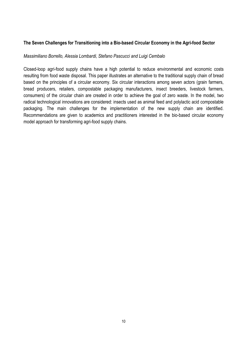## **The Seven Challenges for Transitioning into a Bio-based Circular Economy in the Agri-food Sector**

#### *Massimiliano Borrello, Alessia Lombardi, Stefano Pascucci and Luigi Cembalo*

Closed-loop agri-food supply chains have a high potential to reduce environmental and economic costs resulting from food waste disposal. This paper illustrates an alternative to the traditional supply chain of bread based on the principles of a circular economy. Six circular interactions among seven actors (grain farmers, bread producers, retailers, compostable packaging manufacturers, insect breeders, livestock farmers, consumers) of the circular chain are created in order to achieve the goal of zero waste. In the model, two radical technological innovations are considered: insects used as animal feed and polylactic acid compostable packaging. The main challenges for the implementation of the new supply chain are identified. Recommendations are given to academics and practitioners interested in the bio-based circular economy model approach for transforming agri-food supply chains.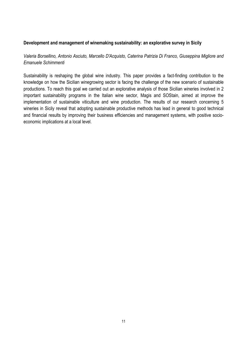#### **Development and management of winemaking sustainability: an explorative survey in Sicily**

## *Valeria Borsellino, Antonio Asciuto, Marcello D'Acquisto, Caterina Patrizia Di Franco, Giuseppina Migliore and Emanuele Schimmenti*

Sustainability is reshaping the global wine industry. This paper provides a fact-finding contribution to the knowledge on how the Sicilian winegrowing sector is facing the challenge of the new scenario of sustainable productions. To reach this goal we carried out an explorative analysis of those Sicilian wineries involved in 2 important sustainability programs in the Italian wine sector, Magis and SOStain, aimed at improve the implementation of sustainable viticulture and wine production. The results of our research concerning 5 wineries in Sicily reveal that adopting sustainable productive methods has lead in general to good technical and financial results by improving their business efficiencies and management systems, with positive socioeconomic implications at a local level.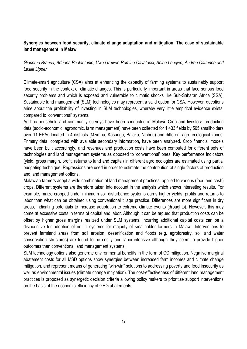# **Synergies between food security, climate change adaptation and mitigation: The case of sustainable land management in Malawi**

# *Giacomo Branca, Adriana Paolantonio, Uwe Grewer, Romina Cavatassi, Abiba Longwe, Andrea Cattaneo and Leslie Lipper*

Climate-smart agriculture (CSA) aims at enhancing the capacity of farming systems to sustainably support food security in the context of climatic changes. This is particularly important in areas that face serious food security problems and which is exposed and vulnerable to climatic shocks like Sub-Saharan Africa (SSA). Sustainable land management (SLM) technologies may represent a valid option for CSA. However, questions arise about the profitability of investing in SLM technologies, whereby very little empirical evidence exists, compared to 'conventional' systems.

Ad hoc household and community surveys have been conducted in Malawi. Crop and livestock production data (socio-economic, agronomic, farm management) have been collected for 1,433 fields by 505 smallholders over 11 EPAs located in 4 districts (Mzimba, Kasungu, Balaka, Ntcheu) and different agro ecological zones. Primary data, completed with available secondary information, have been analyzed. Crop financial models have been built accordingly, and revenues and production costs have been computed for different sets of technologies and land management systems as opposed to 'conventional' ones. Key performance indicators (yield, gross margin, profit, returns to land and capital) in different agro ecologies are estimated using partial budgeting technique. Regressions are used in order to estimate the contribution of single factors of production and land management options.

Malawian farmers adopt a wide combination of land management practices, applied to various (food and cash) crops. Different systems are therefore taken into account in the analysis which shows interesting results. For example, maize cropped under minimum soil disturbance systems earns higher yields, profits and returns to labor than what can be obtained using conventional tillage practice. Differences are more significant in dry areas, indicating potentials to increase adaptation to extreme climate events (droughts). However, this may come at excessive costs in terms of capital and labor. Although it can be argued that production costs can be offset by higher gross margins realized under SLM systems, incurring additional capital costs can be a disincentive for adoption of no till systems for majority of smallholder farmers in Malawi. Interventions to prevent farmland areas from soil erosion, desertification and floods (e.g. agroforestry, soil and water conservation structures) are found to be costly and labor-intensive although they seem to provide higher outcomes than conventional land management systems.

SLM technology options also generate environmental benefits in the form of CC mitigation. Negative marginal abatement costs for all MSD options show synergies between increased farm incomes and climate change mitigation, and represent means of generating "win-win" solutions to addressing poverty and food insecurity as well as environmental issues (climate change mitigation). The cost-effectiveness of different land management practices is proposed as synergetic decision criteria allowing policy makers to prioritize support interventions on the basis of the economic efficiency of GHG abatements.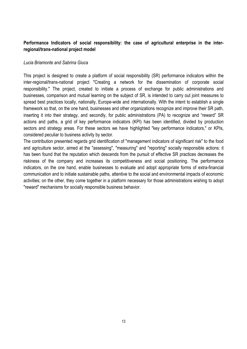# **Performance Indicators of social responsibility: the case of agricultural enterprise in the interregional/trans-national project model**

#### *Lucia Briamonte and Sabrina Giuca*

This project is designed to create a platform of social responsibility (SR) performance indicators within the inter-regional/trans-national project "Creating a network for the dissemination of corporate social responsibility." The project, created to initiate a process of exchange for public administrations and businesses, comparison and mutual learning on the subject of SR, is intended to carry out joint measures to spread best practices locally, nationally, Europe-wide and internationally. With the intent to establish a single framework so that, on the one hand, businesses and other organizations recognize and improve their SR path, inserting it into their strategy, and secondly, for public administrations (PA) to recognize and "reward" SR actions and paths, a grid of key performance indicators (KPI) has been identified, divided by production sectors and strategy areas. For these sectors we have highlighted "key performance indicators," or KPIs, considered peculiar to business activity by sector.

The contribution presented regards grid identification of "management indicators of significant risk" to the food and agriculture sector, aimed at the "assessing", "measuring" and "reporting" socially responsible actions: it has been found that the reputation which descends from the pursuit of effective SR practices decreases the riskiness of the company and increases its competitiveness and social positioning. The performance indicators, on the one hand, enable businesses to evaluate and adopt appropriate forms of extra-financial communication and to initiate sustainable paths, attentive to the social and environmental impacts of economic activities; on the other, they come together in a platform necessary for those administrations wishing to adopt "reward" mechanisms for socially responsible business behavior.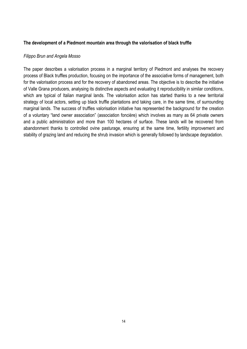## **The development of a Piedmont mountain area through the valorisation of black truffle**

#### *Filippo Brun and Angela Mosso*

The paper describes a valorisation process in a marginal territory of Piedmont and analyses the recovery process of Black truffles production, focusing on the importance of the associative forms of management, both for the valorisation process and for the recovery of abandoned areas. The objective is to describe the initiative of Valle Grana producers, analysing its distinctive aspects and evaluating it reproducibility in similar conditions, which are typical of Italian marginal lands. The valorisation action has started thanks to a new territorial strategy of local actors, setting up black truffle plantations and taking care, in the same time, of surrounding marginal lands. The success of truffles valorisation initiative has represented the background for the creation of a voluntary "land owner association" (association foncière) which involves as many as 64 private owners and a public administration and more than 100 hectares of surface. These lands will be recovered from abandonment thanks to controlled ovine pasturage, ensuring at the same time, fertility improvement and stability of grazing land and reducing the shrub invasion which is generally followed by landscape degradation.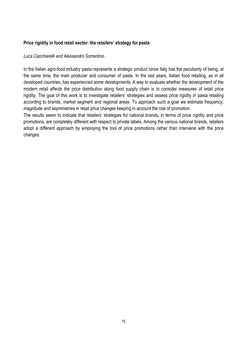## **Price rigidity in food retail sector: the retailers' strategy for pasta**

#### *Luca Cacchiarelli and Alessandro Sorrentino*

In the Italian agro-food industry pasta represents a strategic product since Italy has the peculiarity of being, at the same time, the main producer and consumer of pasta. In the last years, Italian food retailing, as in all developed countries, has experienced some developments. A way to evaluate whether the development of the modern retail affects the price distribution along food supply chain is to consider measures of retail price rigidity. The goal of this work is to investigate retailers' strategies and assess price rigidity in pasta retailing according to brands, market segment and regional areas. To approach such a goal we estimate frequency, magnitude and asymmetries in retail price changes keeping in account the role of promotion.

The results seem to indicate that retailers' strategies for national brands, in terms of price rigidity and price promotions, are completely different with respect to private labels. Among the various national brands, retailers adopt a different approach by employing the tool of price promotions rather than intervene with the price changes.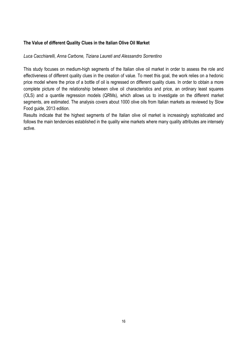## **The Value of different Quality Clues in the Italian Olive Oil Market**

#### *Luca Cacchiarelli, Anna Carbone, Tiziana Laureti and Alessandro Sorrentino*

This study focuses on medium-high segments of the Italian olive oil market in order to assess the role and effectiveness of different quality clues in the creation of value. To meet this goal, the work relies on a hedonic price model where the price of a bottle of oil is regressed on different quality clues. In order to obtain a more complete picture of the relationship between olive oil characteristics and price, an ordinary least squares (OLS) and a quantile regression models (QRMs), which allows us to investigate on the different market segments, are estimated. The analysis covers about 1000 olive oils from Italian markets as reviewed by Slow Food guide, 2013 edition.

Results indicate that the highest segments of the Italian olive oil market is increasingly sophisticated and follows the main tendencies established in the quality wine markets where many quality attributes are intensely active.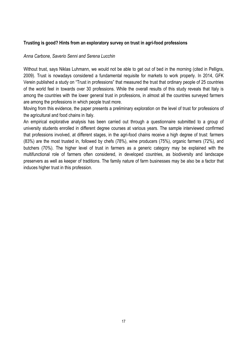## **Trusting is good? Hints from an exploratory survey on trust in agri-food professions**

#### *Anna Carbone, Saverio Senni and Serena Lucchin*

Without trust, says Niklas Luhmann, we would not be able to get out of bed in the morning (cited in Pelligra, 2009). Trust is nowadays considered a fundamental requisite for markets to work properly. In 2014, GFK Verein published a study on "Trust in professions" that measured the trust that ordinary people of 25 countries of the world feel in towards over 30 professions. While the overall results of this study reveals that Italy is among the countries with the lower general trust in professions, in almost all the countries surveyed farmers are among the professions in which people trust more.

Moving from this evidence, the paper presents a preliminary exploration on the level of trust for professions of the agricultural and food chains in Italy.

An empirical explorative analysis has been carried out through a questionnaire submitted to a group of university students enrolled in different degree courses at various years. The sample interviewed confirmed that professions involved, at different stages, in the agri-food chains receive a high degree of trust: farmers (83%) are the most trusted in, followed by chefs (78%), wine producers (75%), organic farmers (72%), and butchers (70%). The higher level of trust in farmers as a generic category may be explained with the multifunctional role of farmers often considered, in developed countries, as biodiversity and landscape preservers as well as keeper of traditions. The family nature of farm businesses may be also be a factor that induces higher trust in this profession.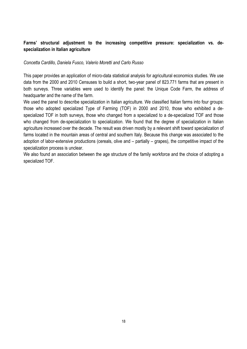# **Farms' structural adjustment to the increasing competitive pressure: specialization vs. despecialization in Italian agriculture**

#### *Concetta Cardillo, Daniela Fusco, Valerio Moretti and Carlo Russo*

This paper provides an application of micro-data statistical analysis for agricultural economics studies. We use data from the 2000 and 2010 Censuses to build a short, two-year panel of 823.771 farms that are present in both surveys. Three variables were used to identify the panel: the Unique Code Farm, the address of headquarter and the name of the farm.

We used the panel to describe specialization in Italian agriculture. We classified Italian farms into four groups: those who adopted specialized Type of Farming (TOF) in 2000 and 2010, those who exhibited a despecialized TOF in both surveys, those who changed from a specialized to a de-specialized TOF and those who changed from de-specialization to specialization. We found that the degree of specialization in Italian agriculture increased over the decade. The result was driven mostly by a relevant shift toward specialization of farms located in the mountain areas of central and southern Italy. Because this change was associated to the adoption of labor-extensive productions (cereals, olive and – partially – grapes), the competitive impact of the specialization process is unclear.

We also found an association between the age structure of the family workforce and the choice of adopting a specialized TOF.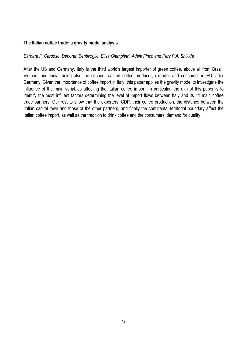#### **The Italian coffee trade: a gravity model analysis**

#### *Bárbara F. Cardoso, Deborah Bentivoglio, Elisa Giampietri, Adele Finco and Pery F.A. Shikida*

After the US and Germany, Italy is the third world's largest importer of green coffee, above all from Brazil, Vietnam and India, being also the second roasted coffee producer, exporter and consumer in EU, after Germany. Given the importance of coffee import in Italy, this paper applies the gravity model to investigate the influence of the main variables affecting the Italian coffee import. In particular, the aim of this paper is to identify the most influent factors determining the level of import flows between Italy and its 11 main coffee trade partners. Our results show that the exporters' GDP, their coffee production, the distance between the Italian capital town and those of the other partners, and finally the continental territorial boundary affect the Italian coffee import, as well as the tradition to drink coffee and the consumers' demand for quality.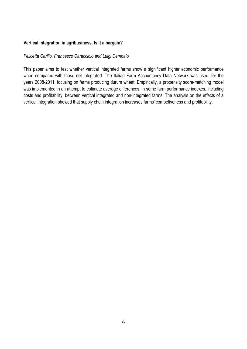## **Vertical integration in agribusiness. Is it a bargain?**

#### *Felicetta Carillo, Francesco Caracciolo and Luigi Cembalo*

This paper aims to test whether vertical integrated farms show a significant higher economic performance when compared with those not integrated. The Italian Farm Accountancy Data Network was used, for the years 2008-2011, focusing on farms producing durum wheat. Empirically, a propensity score-matching model was implemented in an attempt to estimate average differences, in some farm performance indexes, including costs and profitability, between vertical integrated and non-integrated farms. The analysis on the effects of a vertical integration showed that supply chain integration increases farms' competiveness and profitability.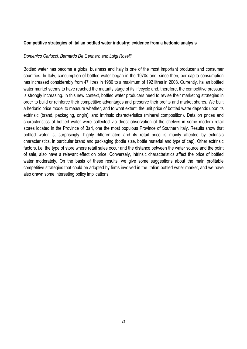#### **Competitive strategies of Italian bottled water industry: evidence from a hedonic analysis**

#### *Domenico Carlucci, Bernardo De Gennaro and Luigi Roselli*

Bottled water has become a global business and Italy is one of the most important producer and consumer countries. In Italy, consumption of bottled water began in the 1970s and, since then, per capita consumption has increased considerably from 47 litres in 1980 to a maximum of 192 litres in 2008. Currently, Italian bottled water market seems to have reached the maturity stage of its lifecycle and, therefore, the competitive pressure is strongly increasing. In this new context, bottled water producers need to revise their marketing strategies in order to build or reinforce their competitive advantages and preserve their profits and market shares. We built a hedonic price model to measure whether, and to what extent, the unit price of bottled water depends upon its extrinsic (brand, packaging, origin), and intrinsic characteristics (mineral composition). Data on prices and characteristics of bottled water were collected via direct observation of the shelves in some modern retail stores located in the Province of Bari, one the most populous Province of Southern Italy. Results show that bottled water is, surprisingly, highly differentiated and its retail price is mainly affected by extrinsic characteristics, in particular brand and packaging (bottle size, bottle material and type of cap). Other extrinsic factors, i.e. the type of store where retail sales occur and the distance between the water source and the point of sale, also have a relevant effect on price. Conversely, intrinsic characteristics affect the price of bottled water moderately. On the basis of these results, we give some suggestions about the main profitable competitive strategies that could be adopted by firms involved in the Italian bottled water market, and we have also drawn some interesting policy implications.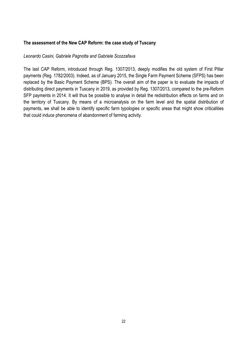## **The assessment of the New CAP Reform: the case study of Tuscany**

#### *Leonardo Casini, Gabriele Pagnotta and Gabriele Scozzafava*

The last CAP Reform, introduced through Reg. 1307/2013, deeply modifies the old system of First Pillar payments (Reg. 1782/2003). Indeed, as of January 2015, the Single Farm Payment Scheme (SFPS) has been replaced by the Basic Payment Scheme (BPS). The overall aim of the paper is to evaluate the impacts of distributing direct payments in Tuscany in 2019, as provided by Reg. 1307/2013, compared to the pre-Reform SFP payments in 2014. It will thus be possible to analyse in detail the redistribution effects on farms and on the territory of Tuscany. By means of a microanalysis on the farm level and the spatial distribution of payments, we shall be able to identify specific farm typologies or specific areas that might show criticalities that could induce phenomena of abandonment of farming activity.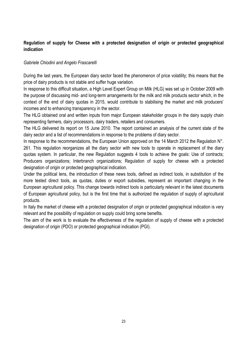# **Regulation of supply for Cheese with a protected designation of origin or protected geographical indication**

## *Gabriele Chiodini and Angelo Frascarelli*

During the last years, the European diary sector faced the phenomenon of price volatility; this means that the price of dairy products is not stable and suffer huge variation.

In response to this difficult situation, a High Level Expert Group on Milk (HLG) was set up in October 2009 with the purpose of discussing mid- and long-term arrangements for the milk and milk products sector which, in the context of the end of dairy quotas in 2015, would contribute to stabilising the market and milk producers' incomes and to enhancing transparency in the sector.

The HLG obtained oral and written inputs from major European stakeholder groups in the dairy supply chain representing farmers, dairy processors, dairy traders, retailers and consumers.

The HLG delivered its report on 15 June 2010. The report contained an analysis of the current state of the dairy sector and a list of recommendations in response to the problems of diary sector.

In response to the recommendations, the European Union approved on the 14 March 2012 the Regulation N°. 261. This regulation reorganizes all the diary sector with new tools to operate in replacement of the diary quotas system. In particular, the new Regulation suggests 4 tools to achieve the goals: Use of contracts; Producers organizations; Interbranch organizations; Regulation of supply for cheese with a protected designation of origin or protected geographical indication.

Under the political lens, the introduction of these news tools, defined as indirect tools, in substitution of the more tested direct tools, as quotas, duties or export subsidies, represent an important changing in the European agricultural policy. This change towards indirect tools is particularly relevant in the latest documents of European agricultural policy, but is the first time that is authorized the regulation of supply of agricultural products.

In Italy the market of cheese with a protected designation of origin or protected geographical indication is very relevant and the possibility of regulation on supply could bring some benefits.

The aim of the work is to evaluate the effectiveness of the regulation of supply of cheese with a protected designation of origin (PDO) or protected geographical indication (PGI).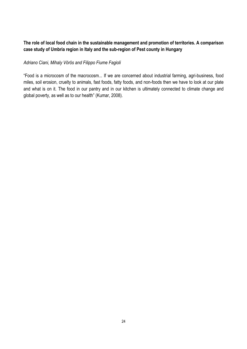# **The role of local food chain in the sustainable management and promotion of territories. A comparison case study of Umbria region in Italy and the sub-region of Pest county in Hungary**

## *Adriano Ciani, Mihaly Vörös and Filippo Fiume Fagioli*

"Food is a microcosm of the macrocosm... If we are concerned about industrial farming, agri-business, food miles, soil erosion, cruelty to animals, fast foods, fatty foods, and non-foods then we have to look at our plate and what is on it. The food in our pantry and in our kitchen is ultimately connected to climate change and global poverty, as well as to our health" (Kumar, 2008).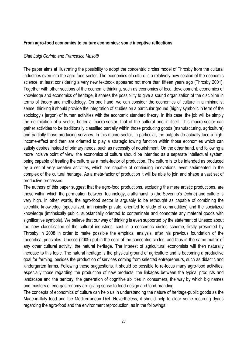#### **From agro-food economics to culture economics: some inceptive reflections**

#### *Gian Luigi Corinto and Francesco Musotti*

The paper aims at illustrating the possibility to adopt the concentric circles model of Throsby from the cultural industries even into the agro-food sector. The economics of culture is a relatively new section of the economic science, at least considering a very new textbook appeared not more than fifteen years ago (Throsby 2001). Together with other sections of the economic thinking, such as economics of local development, economics of knowledge and economics of heritage, it shares the possibility to give a sound organization of the discipline in terms of theory and methodology. On one hand, we can consider the economics of culture in a minimalist sense, thinking it should provide the integration of studies on a particular ground (highly symbolic in term of the sociology's jargon) of human activities with the economic standard theory. In this case, the job will be simply the delimitation of a sector, better a macro-sector, that of the cultural one in itself. This macro-sector can gather activities to be traditionally classified partially within those producing goods (manufacturing, agriculture) and partially those producing services. In this macro-sector, in particular, the outputs do actually face a highincome-effect and then are oriented to play a strategic towing function within those economies which can satisfy desires instead of primary needs, such as necessity of nourishment. On the other hand, and following a more incisive point of view, the economics of culture should be intended as a separate intellectual system, being capable of treating the culture as a meta-factor of production. The culture is to be intended as produced by a set of very creative activities, which are capable of continuing innovations, even sedimented in the complex of the cultural heritage. As a meta-factor of production it will be able to join and shape a vast set of productive processes.

The authors of this paper suggest that the agro-food productions, excluding the mere artistic productions, are those within which the permeation between technology, craftsmanship (the Severino's téchne) and culture is very high. In other words, the agro-food sector is arguably to be rethought as capable of combining the scientific knowledge (specialized, intrinsically private, oriented to study of commodities) and the socialized knowledge (intrinsically public, substantially oriented to contaminate and connotate any material goods with significative symbols). We believe that our way of thinking is even supported by the statement of Unesco about the new classification of the cultural industries, cast in a concentric circles scheme, firstly presented by Throsby in 2008 in order to make possible the empirical analysis, after his previous foundation of the theoretical principles. Unesco (2009) put in the core of the concentric circles, and thus in the same matrix of any other cultural activity, the natural heritage. The interest of agricultural economists will then naturally increase to this topic. The natural heritage is the physical ground of agriculture and is becoming a productive goal for farming, besides the production of services coming from selected entrepreneurs, such as didactic and kindergarten farms. Following these suggestions, it should be possible to re-focus many agro-food activities, especially those regarding the production of new products, the linkages between the typical products and landscape and the territory, the generation of cognitive abilities in consumers, the way by which big names and masters of eno-gastronomy are giving sense to food-design and food-branding.

The concepts of economics of culture can help us in understanding the nature of heritage-public goods as the Made-in-Italy food and the Mediterranean Diet. Nevertheless, it should help to clear some recurring dyads regarding the agro-food and the environment reproduction, as in the followings: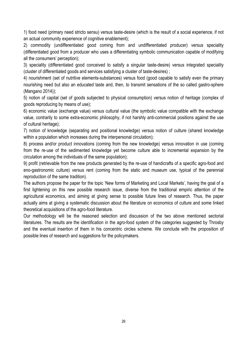1) food need (primary need stricto sensu) versus taste-desire (which is the result of a social experience, if not an actual community experience of cognitive enablement);

2) commodity (undifferentiated good coming from and undifferentiated producer) versus speciality (differentiated good from a producer who uses a differentiating symbolic communication capable of modifying all the consumers' perception);

3) speciality (differentiated good conceived to satisfy a singular taste-desire) versus integrated speciality (cluster of differentiated goods and services satisfying a cluster of taste-desires) ;

4) nourishment (set of nutritive elements-substances) versus food (good capable to satisfy even the primary nourishing need but also an educated taste and, then, to transmit sensations of the so called gastro-sphere (Mangano 2014));

5) notion of capital (set of goods subjected to physical consumption) versus notion of heritage (complex of goods reproducing by means of use);

6) economic value (exchange value) versus cultural value (the symbolic value compatible with the exchange value, contrarily to some extra-economic philosophy, if not harshly anti-commercial positions against the use of cultural heritage);

7) notion of knowledge (separating and positional knowledge) versus notion of culture (shared knowledge within a population which increases during the interpersonal circulation);

8) process and/or product innovations (coming from the new knowledge) versus innovation in use (coming from the re-use of the sedimented knowledge yet become culture able to incremental expansion by the circulation among the individuals of the same population);

9) profit (retrievable from the new products generated by the re-use of handicrafts of a specific agro-food and eno-gastronomic culture) versus rent (coming from the static and museum use, typical of the perennial reproduction of the same tradition).

The authors propose the paper for the topic 'New forms of Marketing and Local Markets', having the goal of a first lightening on this new possible research issue, diverse from the traditional empiric attention of the agricultural economics, and aiming at giving sense to possible future lines of research. Thus, the paper actually aims at giving a systematic discussion about the literature on economics of culture and some linked theoretical acquisitions of the agro-food literature.

Our methodology will be the reasoned selection and discussion of the two above mentioned sectorial literatures. The results are the identification in the agro-food system of the categories suggested by Throsby and the eventual insertion of them in his concentric circles scheme. We conclude with the proposition of possible lines of research and suggestions for the policymakers.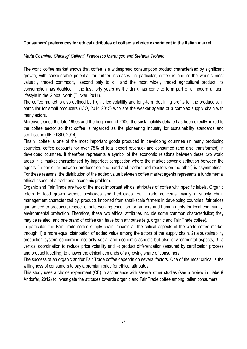## **Consumers' preferences for ethical attributes of coffee: a choice experiment in the Italian market**

#### *Marta Cosmina, Gianluigi Gallenti, Francesco Marangon and Stefania Troiano*

The world coffee market shows that coffee is a widespread consumption product characterised by significant growth, with considerable potential for further increases. In particular, coffee is one of the world's most valuably traded commodity, second only to oil, and the most widely traded agricultural product. Its consumption has doubled in the last forty years as the drink has come to form part of a modern affluent lifestyle in the Global North (Tucker, 2011).

The coffee market is also defined by high price volatility and long-term declining profits for the producers, in particular for small producers (ICO, 2014 2015) who are the weaker agents of a complex supply chain with many actors.

Moreover, since the late 1990s and the beginning of 2000, the sustainability debate has been directly linked to the coffee sector so that coffee is regarded as the pioneering industry for sustainability standards and certification (IIED-IISD, 2014).

Finally, coffee is one of the most important goods produced in developing countries (in many producing countries, coffee accounts for over 75% of total export revenue) and consumed (and also transformed) in developed countries. It therefore represents a symbol of the economic relations between these two world areas in a market characterised by imperfect competition where the market power distribution between the agents (in particular between producer on one hand and traders and roasters on the other) is asymmetrical. For these reasons, the distribution of the added value between coffee market agents represents a fundamental ethical aspect of a traditional economic problem.

Organic and Fair Trade are two of the most important ethical attributes of coffee with specific labels. Organic refers to food grown without pesticides and herbicides. Fair Trade concerns mainly a supply chain management characterized by: products imported from small-scale farmers in developing countries, fair prices guaranteed to producer, respect of safe working condition for farmers and human rights for local community, environmental protection. Therefore, these two ethical attributes include some common characteristics; they may be related, and one brand of coffee can have both attributes (e.g. organic and Fair Trade coffee).

In particular, the Fair Trade coffee supply chain impacts all the critical aspects of the world coffee market through 1) a more equal distribution of added value among the actors of the supply chain, 2) a sustainability production system concerning not only social and economic aspects but also environmental aspects, 3) a vertical coordination to reduce price volatility and 4) product differentiation (ensured by certification process and product labelling) to answer the ethical demands of a growing share of consumers.

The success of an organic and/or Fair Trade coffee depends on several factors. One of the most critical is the willingness of consumers to pay a premium price for ethical attributes.

This study uses a choice experiment (CE) in accordance with several other studies (see a review in Liebe & Andorfer, 2012) to investigate the attitudes towards organic and Fair Trade coffee among Italian consumers.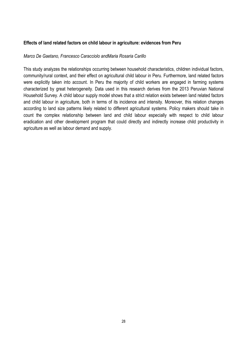## **Effects of land related factors on child labour in agriculture: evidences from Peru**

#### *Marco De Gaetano, Francesco Caracciolo andMaria Rosaria Carillo*

This study analyzes the relationships occurring between household characteristics, children individual factors, community/rural context, and their effect on agricultural child labour in Peru. Furthermore, land related factors were explicitly taken into account. In Peru the majority of child workers are engaged in farming systems characterized by great heterogeneity. Data used in this research derives from the 2013 Peruvian National Household Survey. A child labour supply model shows that a strict relation exists between land related factors and child labour in agriculture, both in terms of its incidence and intensity. Moreover, this relation changes according to land size patterns likely related to different agricultural systems. Policy makers should take in count the complex relationship between land and child labour especially with respect to child labour eradication and other development program that could directly and indirectly increase child productivity in agriculture as well as labour demand and supply.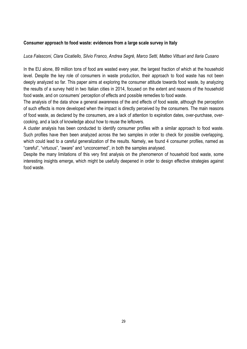## **Consumer approach to food waste: evidences from a large scale survey in Italy**

## *Luca Falasconi, Clara Cicatiello, Silvio Franco, Andrea Segré, Marco Setti, Matteo Vittuari and Ilaria Cusano*

In the EU alone, 89 million tons of food are wasted every year, the largest fraction of which at the household level. Despite the key role of consumers in waste production, their approach to food waste has not been deeply analyzed so far. This paper aims at exploring the consumer attitude towards food waste, by analyzing the results of a survey held in two Italian cities in 2014, focused on the extent and reasons of the household food waste, and on consumers' perception of effects and possible remedies to food waste.

The analysis of the data show a general awareness of the and effects of food waste, although the perception of such effects is more developed when the impact is directly perceived by the consumers. The main reasons of food waste, as declared by the consumers, are a lack of attention to expiration dates, over-purchase, overcooking, and a lack of knowledge about how to reuse the leftovers.

A cluster analysis has been conducted to identify consumer profiles with a similar approach to food waste. Such profiles have then been analyzed across the two samples in order to check for possible overlapping, which could lead to a careful generalization of the results. Namely, we found 4 consumer profiles, named as "careful", "virtuous", "aware" and "unconcerned", in both the samples analysed.

Despite the many limitations of this very first analysis on the phenomenon of household food waste, some interesting insights emerge, which might be usefully deepened in order to design effective strategies against food waste.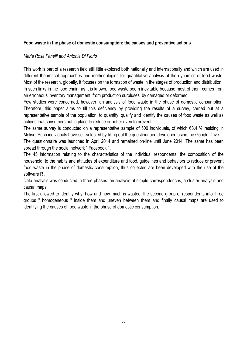## **Food waste in the phase of domestic consumption: the causes and preventive actions**

#### *Maria Rosa Fanelli and Antonia Di Florio*

This work is part of a research field still little explored both nationally and internationally and which are used in different theoretical approaches and methodologies for quantitative analysis of the dynamics of food waste. Most of the research, globally, it focuses on the formation of waste in the stages of production and distribution. In such links in the food chain, as it is known, food waste seem inevitable because most of them comes from an erroneous inventory management, from production surpluses, by damaged or deformed.

Few studies were concerned, however, an analysis of food waste in the phase of domestic consumption. Therefore, this paper aims to fill this deficiency by providing the results of a survey, carried out at a representative sample of the population, to quantify, qualify and identify the causes of food waste as well as actions that consumers put in place to reduce or better even to prevent it.

The same survey is conducted on a representative sample of 500 individuals, of which 68.4 % residing in Molise. Such individuals have self-selected by filling out the questionnaire developed using the Google Drive .

The questionnaire was launched in April 2014 and remained on-line until June 2014. The same has been spread through the social network " Facebook ".

The 45 information relating to the characteristics of the individual respondents, the composition of the household, to the habits and attitudes of expenditure and food, guidelines and behaviors to reduce or prevent food waste in the phase of domestic consumption, thus collected are been developed with the use of the software R .

Data analysis was conducted in three phases: an analysis of simple correspondences, a cluster analysis and causal maps.

The first allowed to identify why, how and how much is wasted, the second group of respondents into three groups " homogeneous " inside them and uneven between them and finally causal maps are used to identifying the causes of food waste in the phase of domestic consumption.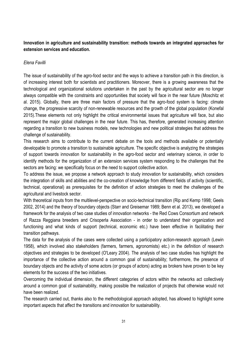# **Innovation in agriculture and sustainability transition: methods towards an integrated approaches for extension services and education.**

## *Elena Favilli*

The issue of sustainability of the agro-food sector and the ways to achieve a transition path in this direction, is of increasing interest both for scientists and practitioners. Moreover, there is a growing awareness that the technological and organizational solutions undertaken in the past by the agricultural sector are no longer always compatible with the constraints and opportunities that society will face in the near future (Moschitz et al. 2015). Globally, there are three main factors of pressure that the agro-food system is facing: climate change, the progressive scarcity of non-renewable resources and the growth of the global population (Konefal 2015).These elements not only highlight the critical environmental issues that agriculture will face, but also represent the major global challenges in the near future. This has, therefore, generated increasing attention regarding a transition to new business models, new technologies and new political strategies that address the challenge of sustainability.

This research aims to contribute to the current debate on the tools and methods available or potentially developable to promote a transition to sustainable agriculture. The specific objective is analyzing the strategies of support towards innovation for sustainability in the agro-food sector and veterinary science, in order to identify methods for the organization of an extension services system responding to the challenges that the sectors are facing: we specifically focus on the need to support collective action.

To address the issue, we propose a network approach to study innovation for sustainability, which considers the integration of skills and abilities and the co-creation of knowledge from different fields of activity (scientific, technical, operational) as prerequisites for the definition of action strategies to meet the challenges of the agricultural and livestock sector.

With theoretical inputs from the multilevel-perspective on socio-technical transition (Rip and Kemp 1998; Geels 2002, 2014) and the theory of boundary objects (Starr and Greisemar 1989; Benn et al. 2013), we developed a framework for the analysis of two case studies of innovation networks - the Red Cows Consortium and network of Razza Reggiana breeders and Crisoperla Association - in order to understand their organization and functioning and what kinds of support (technical, economic etc.) have been effective in facilitating their transition pathways.

The data for the analysis of the cases were collected using a participatory action-research approach (Lewin 1958), which involved also stakeholders (farmers, farmers, agronomists) etc.) in the definition of research objectives and strategies to be developed (O'Leary 2004). The analysis of two case studies has highlight the importance of the collective action around a common goal of sustainability; furthermore, the presence of boundary objects and the activity of some actors (or groups of actors) acting as brokers have proven to be key elements for the success of the two initiatives.

Overcoming the individual dimension, the different categories of actors within the networks act collectively around a common goal of sustainability, making possible the realization of projects that otherwise would not have been realized.

The research carried out, thanks also to the methodological approach adopted, has allowed to highlight some important aspects that affect the transitions and innovation for sustainability.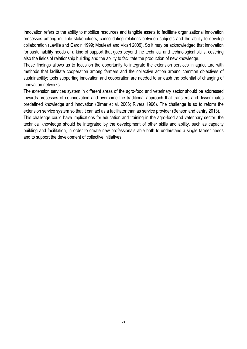Innovation refers to the ability to mobilize resources and tangible assets to facilitate organizational innovation processes among multiple stakeholders, consolidating relations between subjects and the ability to develop collaboration (Laville and Gardin 1999; Mouleart and Vicari 2009). So it may be acknowledged that innovation for sustainability needs of a kind of support that goes beyond the technical and technological skills, covering also the fields of relationship building and the ability to facilitate the production of new knowledge.

These findings allows us to focus on the opportunity to integrate the extension services in agriculture with methods that facilitate cooperation among farmers and the collective action around common objectives of sustainability; tools supporting innovation and cooperation are needed to unleash the potential of changing of innovation networks.

The extension services system in different areas of the agro-food and veterinary sector should be addressed towards processes of co-innovation and overcome the traditional approach that transfers and disseminates predefined knowledge and innovation (Birner et al. 2006; Rivera 1996). The challenge is so to reform the extension service system so that it can act as a facilitator than as service provider (Benson and Janfry 2013).

This challenge could have implications for education and training in the agro-food and veterinary sector: the technical knowledge should be integrated by the development of other skills and ability, such as capacity building and facilitation, in order to create new professionals able both to understand a single farmer needs and to support the development of collective initiatives.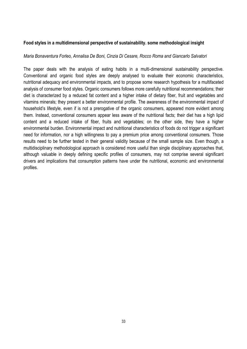#### **Food styles in a multidimensional perspective of sustainability. some methodological insight**

#### *Maria Bonaventura Forleo, Annalisa De Boni, Cinzia Di Cesare, Rocco Roma and Giancarlo Salvatori*

The paper deals with the analysis of eating habits in a multi-dimensional sustainability perspective. Conventional and organic food styles are deeply analysed to evaluate their economic characteristics, nutritional adequacy and environmental impacts, and to propose some research hypothesis for a multifaceted analysis of consumer food styles. Organic consumers follows more carefully nutritional recommendations; their diet is characterized by a reduced fat content and a higher intake of dietary fiber, fruit and vegetables and vitamins minerals; they present a better environmental profile. The awareness of the environmental impact of household's lifestyle, even if is not a prerogative of the organic consumers, appeared more evident among them. Instead, conventional consumers appear less aware of the nutritional facts; their diet has a high lipid content and a reduced intake of fiber, fruits and vegetables; on the other side, they have a higher environmental burden. Environmental impact and nutritional characteristics of foods do not trigger a significant need for information, nor a high willingness to pay a premium price among conventional consumers. Those results need to be further tested in their general validity because of the small sample size. Even though, a multidisciplinary methodological approach is considered more useful than single disciplinary approaches that, although valuable in deeply defining specific profiles of consumers, may not comprise several significant drivers and implications that consumption patterns have under the nutritional, economic and environmental profiles.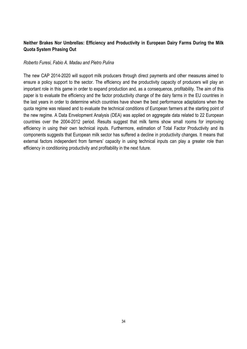# **Neither Brakes Nor Umbrellas: Efficiency and Productivity in European Dairy Farms During the Milk Quota System Phasing Out**

#### *Roberto Furesi, Fabio A. Madau and Pietro Pulina*

The new CAP 2014-2020 will support milk producers through direct payments and other measures aimed to ensure a policy support to the sector. The efficiency and the productivity capacity of producers will play an important role in this game in order to expand production and, as a consequence, profitability. The aim of this paper is to evaluate the efficiency and the factor productivity change of the dairy farms in the EU countries in the last years in order to determine which countries have shown the best performance adaptations when the quota regime was relaxed and to evaluate the technical conditions of European farmers at the starting point of the new regime. A Data Envelopment Analysis (DEA) was applied on aggregate data related to 22 European countries over the 2004-2012 period. Results suggest that milk farms show small rooms for improving efficiency in using their own technical inputs. Furthermore, estimation of Total Factor Productivity and its components suggests that European milk sector has suffered a decline in productivity changes. It means that external factors independent from farmers' capacity in using technical inputs can play a greater role than efficiency in conditioning productivity and profitability in the next future.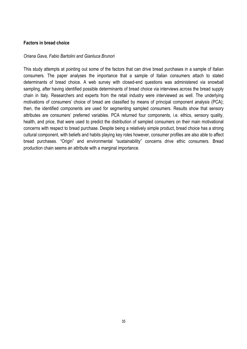#### **Factors in bread choice**

#### *Oriana Gava, Fabio Bartolini and Gianluca Brunori*

This study attempts at pointing out some of the factors that can drive bread purchases in a sample of Italian consumers. The paper analyses the importance that a sample of Italian consumers attach to stated determinants of bread choice. A web survey with closed-end questions was administered via snowball sampling, after having identified possible determinants of bread choice via interviews across the bread supply chain in Italy. Researchers and experts from the retail industry were interviewed as well. The underlying motivations of consumers' choice of bread are classified by means of principal component analysis (PCA); then, the identified components are used for segmenting sampled consumers. Results show that sensory attributes are consumers' preferred variables. PCA returned four components, i.e. ethics, sensory quality, health, and price, that were used to predict the distribution of sampled consumers on their main motivational concerns with respect to bread purchase. Despite being a relatively simple product, bread choice has a strong cultural component, with beliefs and habits playing key roles however, consumer profiles are also able to affect bread purchases. "Origin" and environmental "sustainability" concerns drive ethic consumers. Bread production chain seems an attribute with a marginal importance.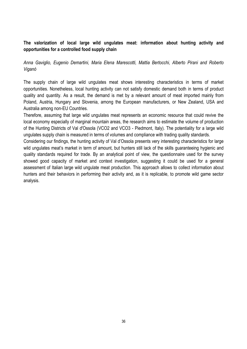# **The valorization of local large wild ungulates meat: information about hunting activity and opportunities for a controlled food supply chain**

*Anna Gaviglio, Eugenio Demartini, Maria Elena Marescotti, Mattia Bertocchi, Alberto Pirani and Roberto Viganò*

The supply chain of large wild ungulates meat shows interesting characteristics in terms of market opportunities. Nonetheless, local hunting activity can not satisfy domestic demand both in terms of product quality and quantity. As a result, the demand is met by a relevant amount of meat imported mainly from Poland, Austria, Hungary and Slovenia, among the European manufacturers, or New Zealand, USA and Australia among non-EU Countries.

Therefore, assuming that large wild ungulates meat represents an economic resource that could revive the local economy especially of marginal mountain areas, the research aims to estimate the volume of production of the Hunting Districts of Val d'Ossola (VCO2 and VCO3 - Piedmont, Italy). The potentiality for a large wild ungulates supply chain is measured in terms of volumes and compliance with trading quality standards.

Considering our findings, the hunting activity of Val d'Ossola presents very interesting characteristics for large wild ungulates meat's market in term of amount, but hunters still lack of the skills guaranteeing hygienic and quality standards required for trade. By an analytical point of view, the questionnaire used for the survey showed good capacity of market and context investigation, suggesting it could be used for a general assessment of Italian large wild ungulate meat production. This approach allows to collect information about hunters and their behaviors in performing their activity and, as it is replicable, to promote wild game sector analysis.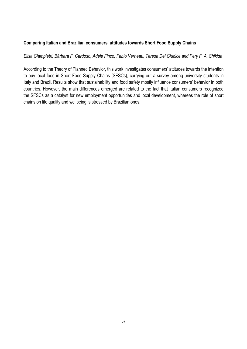## **Comparing Italian and Brazilian consumers' attitudes towards Short Food Supply Chains**

#### *Elisa Giampietri, Bárbara F. Cardoso, Adele Finco, Fabio Verneau, Teresa Del Giudice and Pery F. A. Shikida*

According to the Theory of Planned Behavior, this work investigates consumers' attitudes towards the intention to buy local food in Short Food Supply Chains (SFSCs), carrying out a survey among university students in Italy and Brazil. Results show that sustainability and food safety mostly influence consumers' behavior in both countries. However, the main differences emerged are related to the fact that Italian consumers recognized the SFSCs as a catalyst for new employment opportunities and local development, whereas the role of short chains on life quality and wellbeing is stressed by Brazilian ones.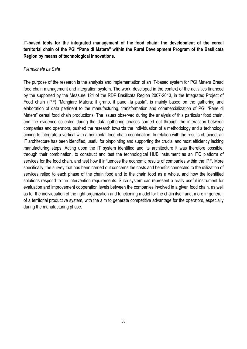**IT-based tools for the integrated management of the food chain: the development of the cereal territorial chain of the PGI "Pane di Matera" within the Rural Development Program of the Basilicata Region by means of technological innovations.**

#### *Piermichele La Sala*

The purpose of the research is the analysis and implementation of an IT-based system for PGI Matera Bread food chain management and integration system. The work, developed in the context of the activities financed by the supported by the Measure 124 of the RDP Basilicata Region 2007-2013, in the Integrated Project of Food chain (IPF) "Mangiare Matera: il grano, il pane, la pasta", is mainly based on the gathering and elaboration of data pertinent to the manufacturing, transformation and commercialization of PGI "Pane di Matera" cereal food chain productions. The issues observed during the analysis of this particular food chain, and the evidence collected during the data gathering phases carried out through the interaction between companies and operators, pushed the research towards the individuation of a methodology and a technology aiming to integrate a vertical with a horizontal food chain coordination. In relation with the results obtained, an IT architecture has been identified, useful for pinpointing and supporting the crucial and most efficiency lacking manufacturing steps. Acting upon the IT system identified and its architecture it was therefore possible, through their combination, to construct and test the technological HUB instrument as an ITC platform of services for the food chain, and test how it influences the economic results of companies within the IPF. More specifically, the survey that has been carried out concerns the costs and benefits connected to the utilization of services relied to each phase of the chain food and to the chain food as a whole, and how the identified solutions respond to the intervention requirements. Such system can represent a really useful instrument for evaluation and improvement cooperation levels between the companies involved in a given food chain, as well as for the individuation of the right organization and functioning model for the chain itself and, more in general, of a territorial productive system, with the aim to generate competitive advantage for the operators, especially during the manufacturing phase.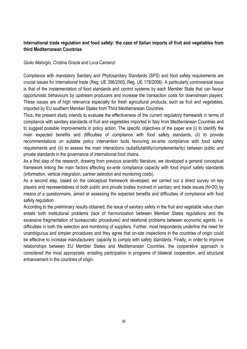# **International trade regulation and food safety: the case of Italian imports of fruit and vegetables from third Mediterranean Countries**

## *Giulio Malorgio, Cristina Grazia and Luca Camanzi*

Compliance with mandatory Sanitary and Phytosanitary Standards (SPS) and food safety requirements are crucial issues for international trade (Reg. UE 396/2005, Reg. UE 178/2006). A particularly controversial issue is that of the implementation of food standards and control systems by each Member State that can favour opportunistic behaviours by upstream producers and increase the transaction costs for downstream players. These issues are of high relevance especially for fresh agricultural products, such as fruit and vegetables, imported by EU southern Member States from Third Mediterranean Countries.

Thus, the present study intends to evaluate the effectiveness of the current regulatory framework in terms of compliance with sanitary standards of fruit and vegetables imported in Italy from Mediterranean Countries and to suggest possible improvements in policy action. The specific objectives of the paper are (i) to identify the main expected benefits and difficulties of compliance with food safety standards, (ii) to provide recommendations on suitable policy intervention tools favouring ex-ante compliance with food safety requirements and (iii) to assess the main interactions (substitutability/complementarity) between public and private standards in the governance of international food chains.

As a first step of the research, drawing from previous scientific literature, we developed a general conceptual framework linking the main factors affecting ex-ante compliance capacity with food import safety standards (information, vertical integration, partner selection and monitoring costs).

As a second step, based on the conceptual framework developed, we carried out a direct survey on key players and representatives of both public and private bodies involved in sanitary and trade issues (N=20) by means of a questionnaire, aimed at assessing the expected benefits and difficulties of compliance with food safety regulation.

According to the preliminary results obtained, the issue of sanitary safety in the fruit and vegetable value chain entails both institutional problems (lack of harmonization between Member States regulations and the excessive fragmentation of bureaucratic procedures) and relational problems between economic agents, i.e. difficulties in both the selection and monitoring of suppliers. Further, most respondents underline the need for unambiguous and simpler procedures and they agree that on-site inspections in the countries of origin could be effective to increase manufacturers' capacity to comply with safety standards. Finally, in order to improve relationships between EU Member States and Mediterranean Countries, the cooperative approach is considered the most appropriate, entailing participation in programs of bilateral cooperation, and structural enhancement in the countries of origin.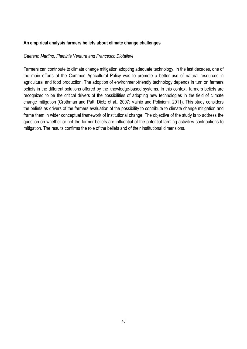#### **An empirical analysis farmers beliefs about climate change challenges**

#### *Gaetano Martino, Flaminia Ventura and Francesco Diotallevi*

Farmers can contribute to climate change mitigation adopting adequate technology. In the last decades, one of the main efforts of the Common Agricultural Policy was to promote a better use of natural resources in agricultural and food production. The adoption of environment-friendly technology depends in turn on farmers beliefs in the different solutions offered by the knowledge-based systems. In this context, farmers beliefs are recognized to be the critical drivers of the possibilities of adopting new technologies in the field of climate change mitigation (Grothman and Patt; Dietz et al., 2007; Vainio and Poliniemi, 2011). This study considers the beliefs as drivers of the farmers evaluation of the possibility to contribute to climate change mitigation and frame them in wider conceptual framework of institutional change. The objective of the study is to address the question on whether or not the farmer beliefs are influential of the potential farming activities contributions to mitigation. The results confirms the role of the beliefs and of their institutional dimensions.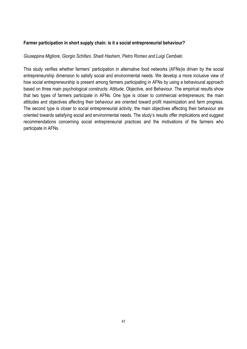## **Farmer participation in short supply chain: is it a social entrepreneurial behaviour?**

#### *Giuseppina Migliore, Giorgio Schifani, Shadi Hashem, Pietro Romeo and Luigi Cembalo*

This study verifies whether farmers' participation in alternative food networks (AFNs)is driven by the social entrepreneurship dimension to satisfy social and environmental needs. We develop a more inclusive view of how social entrepreneurship is present among farmers participating in AFNs by using a behavioural approach based on three main psychological constructs: Attitude, Objective, and Behaviour. The empirical results show that two types of farmers participate in AFNs. One type is closer to commercial entrepreneurs; the main attitudes and objectives affecting their behaviour are oriented toward profit maximization and farm progress. The second type is closer to social entrepreneurial activity; the main objectives affecting their behaviour are oriented towards satisfying social and environmental needs. The study's results offer implications and suggest recommendations concerning social entrepreneurial practices and the motivations of the farmers who participate in AFNs.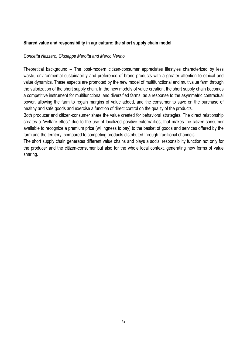## **Shared value and responsibility in agriculture: the short supply chain model**

#### *Concetta Nazzaro, Giuseppe Marotta and Marco Nerino*

Theoretical background – The post-modern citizen-consumer appreciates lifestyles characterized by less waste, environmental sustainability and preference of brand products with a greater attention to ethical and value dynamics. These aspects are promoted by the new model of multifunctional and multivalue farm through the valorization of the short supply chain. In the new models of value creation, the short supply chain becomes a competitive instrument for multifunctional and diversified farms, as a response to the asymmetric contractual power, allowing the farm to regain margins of value added, and the consumer to save on the purchase of healthy and safe goods and exercise a function of direct control on the quality of the products.

Both producer and citizen-consumer share the value created for behavioral strategies. The direct relationship creates a "welfare effect" due to the use of localized positive externalities, that makes the citizen-consumer available to recognize a premium price (willingness to pay) to the basket of goods and services offered by the farm and the territory, compared to competing products distributed through traditional channels.

The short supply chain generates different value chains and plays a social responsibility function not only for the producer and the citizen-consumer but also for the whole local context, generating new forms of value sharing.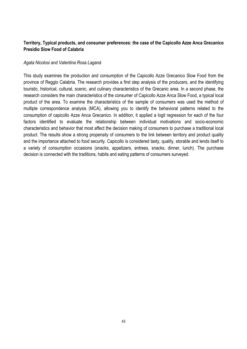# **Territory, Typical products, and consumer preferences: the case of the Capicollo Azze Anca Grecanico Presidio Slow Food of Calabria**

#### *Agata Nicolosi and Valentina Rosa Laganà*

This study examines the production and consumption of the Capicollo Azze Grecanico Slow Food from the province of Reggio Calabria. The research provides a first step analysis of the producers, and the identifying touristic, historical, cultural, scenic, and culinary characteristics of the Grecanic area. In a second phase, the research considers the main characteristics of the consumer of Capicollo Azze Anca Slow Food, a typical local product of the area. To examine the characteristics of the sample of consumers was used the method of multiple correspondence analysis (MCA), allowing you to identify the behavioral patterns related to the consumption of capicollo Azze Anca Grecanico. In addition, it applied a logit regression for each of the four factors identified to evaluate the relationship between individual motivations and socio-economic characteristics and behavior that most affect the decision making of consumers to purchase a traditional local product. The results show a strong propensity of consumers to the link between territory and product quality and the importance attached to food security. Capicollo is considered tasty, quality, storable and lends itself to a variety of consumption occasions (snacks, appetizers, entrees, snacks, dinner, lunch). The purchase decision is connected with the traditions, habits and eating patterns of consumers surveyed.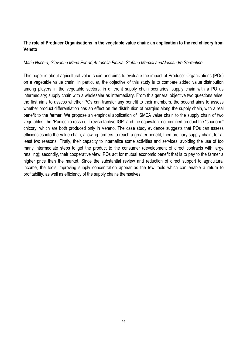# **The role of Producer Organisations in the vegetable value chain: an application to the red chicory from Veneto**

## *Maria Nucera, Giovanna Maria Ferrari,Antonella Finizia, Stefano Merciai andAlessandro Sorrentino*

This paper is about agricultural value chain and aims to evaluate the impact of Producer Organizations (POs) on a vegetable value chain. In particular, the objective of this study is to compare added value distribution among players in the vegetable sectors, in different supply chain scenarios: supply chain with a PO as intermediary; supply chain with a wholesaler as intermediary. From this general objective two questions arise: the first aims to assess whether POs can transfer any benefit to their members, the second aims to assess whether product differentiation has an effect on the distribution of margins along the supply chain, with a real benefit to the farmer. We propose an empirical application of ISMEA value chain to the supply chain of two vegetables: the "Radicchio rosso di Treviso tardivo IGP" and the equivalent not certified product the "spadone" chicory, which are both produced only in Veneto. The case study evidence suggests that POs can assess efficiencies into the value chain, allowing farmers to reach a greater benefit, then ordinary supply chain, for at least two reasons. Firstly, their capacity to internalize some activities and services, avoiding the use of too many intermediate steps to get the product to the consumer (development of direct contracts with large retailing); secondly, their cooperative view: POs act for mutual economic benefit that is to pay to the farmer a higher price than the market. Since the substantial review and reduction of direct support to agricultural income, the tools improving supply concentration appear as the few tools which can enable a return to profitability, as well as efficiency of the supply chains themselves.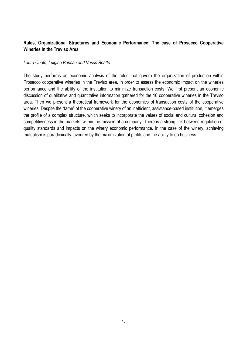# **Rules, Organizational Structures and Economic Performance: The case of Prosecco Cooperative Wineries in the Treviso Area**

#### *Laura Onofri, Luigino Barisan and Vasco Boatto*

The study performs an economic analysis of the rules that govern the organization of production within Prosecco cooperative wineries in the Treviso area, in order to assess the economic impact on the wineries performance and the ability of the institution to minimize transaction costs. We first present an economic discussion of qualitative and quantitative information gathered for the 16 cooperative wineries in the Treviso area. Then we present a theoretical framework for the economics of transaction costs of the cooperative wineries. Despite the "fame" of the cooperative winery of an inefficient, assistance-based institution, it emerges the profile of a complex structure, which seeks to incorporate the values of social and cultural cohesion and competitiveness in the markets, within the mission of a company. There is a strong link between regulation of quality standards and impacts on the winery economic performance. In the case of the winery, achieving mutualism is paradoxically favoured by the maximization of profits and the ability to do business.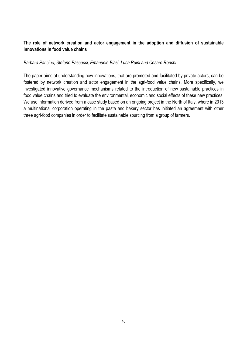# **The role of network creation and actor engagement in the adoption and diffusion of sustainable innovations in food value chains**

#### *Barbara Pancino, Stefano Pascucci, Emanuele Blasi, Luca Ruini and Cesare Ronchi*

The paper aims at understanding how innovations, that are promoted and facilitated by private actors, can be fostered by network creation and actor engagement in the agri-food value chains. More specifically, we investigated innovative governance mechanisms related to the introduction of new sustainable practices in food value chains and tried to evaluate the environmental, economic and social effects of these new practices. We use information derived from a case study based on an ongoing project in the North of Italy, where in 2013 a multinational corporation operating in the pasta and bakery sector has initiated an agreement with other three agri-food companies in order to facilitate sustainable sourcing from a group of farmers.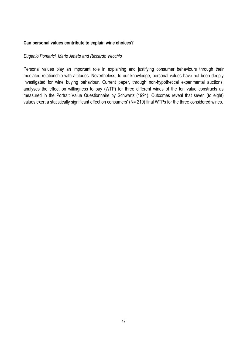#### **Can personal values contribute to explain wine choices?**

#### *Eugenio Pomarici, Mario Amato and Riccardo Vecchio*

Personal values play an important role in explaining and justifying consumer behaviours through their mediated relationship with attitudes. Nevertheless, to our knowledge, personal values have not been deeply investigated for wine buying behaviour. Current paper, through non-hypothetical experimental auctions, analyses the effect on willingness to pay (WTP) for three different wines of the ten value constructs as measured in the Portrait Value Questionnaire by Schwartz (1994). Outcomes reveal that seven (to eight) values exert a statistically significant effect on consumers' (N= 210) final WTPs for the three considered wines.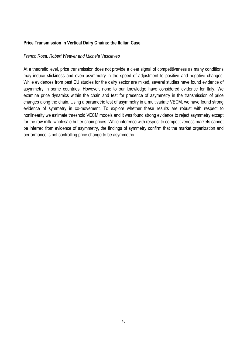## **Price Transmission in Vertical Dairy Chains: the Italian Case**

#### *Franco Rosa, Robert Weaver and Michela Vasciaveo*

At a theoretic level, price transmission does not provide a clear signal of competitiveness as many conditions may induce stickiness and even asymmetry in the speed of adjustment to positive and negative changes. While evidences from past EU studies for the dairy sector are mixed, several studies have found evidence of asymmetry in some countries. However, none to our knowledge have considered evidence for Italy. We examine price dynamics within the chain and test for presence of asymmetry in the transmission of price changes along the chain. Using a parametric test of asymmetry in a multivariate VECM, we have found strong evidence of symmetry in co-movement. To explore whether these results are robust with respect to nonlinearity we estimate threshold VECM models and it was found strong evidence to reject asymmetry except for the raw milk, wholesale butter chain prices. While inference with respect to competitiveness markets cannot be inferred from evidence of asymmetry, the findings of symmetry confirm that the market organization and performance is not controlling price change to be asymmetric.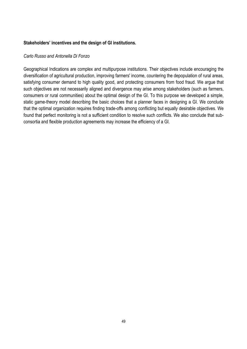## **Stakeholders' incentives and the design of GI institutions.**

#### *Carlo Russo and Antonella Di Fonzo*

Geographical Indications are complex and multipurpose institutions. Their objectives include encouraging the diversification of agricultural production, improving farmers' income, countering the depopulation of rural areas, satisfying consumer demand to high quality good, and protecting consumers from food fraud. We argue that such objectives are not necessarily aligned and divergence may arise among stakeholders (such as farmers, consumers or rural communities) about the optimal design of the GI. To this purpose we developed a simple, static game-theory model describing the basic choices that a planner faces in designing a GI. We conclude that the optimal organization requires finding trade-offs among conflicting but equally desirable objectives. We found that perfect monitoring is not a sufficient condition to resolve such conflicts. We also conclude that subconsortia and flexible production agreements may increase the efficiency of a GI.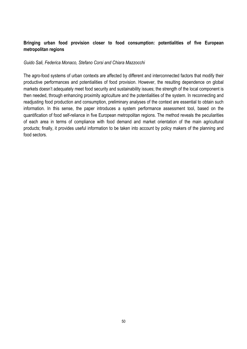# **Bringing urban food provision closer to food consumption: potentialities of five European metropolitan regions**

#### *Guido Sali, Federica Monaco, Stefano Corsi and Chiara Mazzocchi*

The agro-food systems of urban contexts are affected by different and interconnected factors that modify their productive performances and potentialities of food provision. However, the resulting dependence on global markets doesn't adequately meet food security and sustainability issues; the strength of the local component is then needed, through enhancing proximity agriculture and the potentialities of the system. In reconnecting and readjusting food production and consumption, preliminary analyses of the context are essential to obtain such information. In this sense, the paper introduces a system performance assessment tool, based on the quantification of food self-reliance in five European metropolitan regions. The method reveals the peculiarities of each area in terms of compliance with food demand and market orientation of the main agricultural products; finally, it provides useful information to be taken into account by policy makers of the planning and food sectors.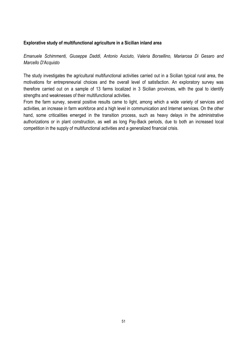## **Explorative study of multifunctional agriculture in a Sicilian inland area**

*Emanuele Schimmenti, Giuseppe Daddi, Antonio Asciuto, Valeria Borsellino, Mariarosa Di Gesaro and Marcello D'Acquisto*

The study investigates the agricultural multifunctional activities carried out in a Sicilian typical rural area, the motivations for entrepreneurial choices and the overall level of satisfaction. An exploratory survey was therefore carried out on a sample of 13 farms localized in 3 Sicilian provinces, with the goal to identify strengths and weaknesses of their multifunctional activities.

From the farm survey, several positive results came to light, among which a wide variety of services and activities, an increase in farm workforce and a high level in communication and Internet services. On the other hand, some criticalities emerged in the transition process, such as heavy delays in the administrative authorizations or in plant construction, as well as long Pay-Back periods, due to both an increased local competition in the supply of multifunctional activities and a generalized financial crisis.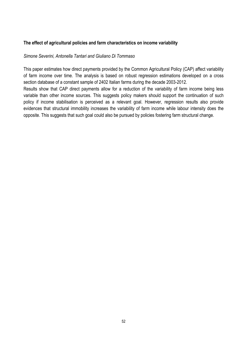## **The effect of agricultural policies and farm characteristics on income variability**

#### *Simone Severini, Antonella Tantari and Giuliano Di Tommaso*

This paper estimates how direct payments provided by the Common Agricultural Policy (CAP) affect variability of farm income over time. The analysis is based on robust regression estimations developed on a cross section database of a constant sample of 2402 Italian farms during the decade 2003-2012.

Results show that CAP direct payments allow for a reduction of the variability of farm income being less variable than other income sources. This suggests policy makers should support the continuation of such policy if income stabilisation is perceived as a relevant goal. However, regression results also provide evidences that structural immobility increases the variability of farm income while labour intensity does the opposite. This suggests that such goal could also be pursued by policies fostering farm structural change.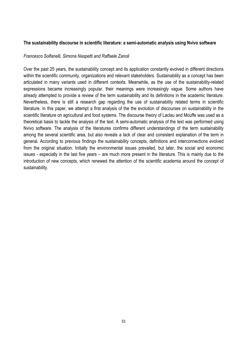#### **The sustainability discourse in scientific literature: a semi-automatic analysis using Nvivo software**

#### *Francesco Solfanelli, Simona Naspetti and Raffaele Zanoli*

Over the past 25 years, the sustainability concept and its application constantly evolved in different directions within the scientific community, organizations and relevant stakeholders. Sustainability as a concept has been articulated in many variants used in different contexts. Meanwhile, as the use of the sustainability-related expressions became increasingly popular, their meanings were increasingly vague. Some authors have already attempted to provide a review of the term sustainability and its definitions in the academic literature. Nevertheless, there is still a research gap regarding the use of sustainability related terms in scientific literature. In this paper, we attempt a first analysis of the the evolution of discourses on sustainability in the scientific literature on agricultural and food systems. The discourse theory of Laclau and Mouffe was used as a theoretical basis to tackle the analysis of the text. A semi-automatic analysis of the text was performed using Nvivo software. The analysis of the literatures confirms different understandings of the term sustainability among the several scientific area, but also reveals a lack of clear and consistent explanation of the term in general. According to previous findings the sustainability concepts, definitions and interconnections evolved from the original situation. Initially the environmental issues prevailed, but later, the social and economic issues - especially in the last five years – are much more present in the literature. This is mainly due to the introduction of new concepts, which renewed the attention of the scientific academia around the concept of sustainability.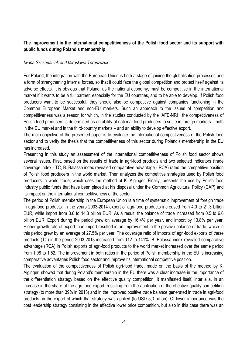# **The improvement in the international competitiveness of the Polish food sector and its support with public funds during Poland's membership**

#### *Iwona Szczepaniak and Miroslawa Tereszczuk*

For Poland, the integration with the European Union is both a stage of joining the globalisation processes and a form of strengthening internal forces, so that it could face the global competition and protect itself against its adverse effects. It is obvious that Poland, as the national economy, must be competitive in the international market if it wants to be a full partner, especially for the EU countries, and to be able to develop. If Polish food producers want to be successful, they should also be competitive against companies functioning in the Common European Market and non-EU markets. Such an approach to the issues of competition and competitiveness was a reason for which, in the studies conducted by the IAFE-NRI , the competitiveness of Polish food producers is determined as an ability of national food producers to settle in foreign markets – both in the EU market and in the third-country markets – and an ability to develop effective export.

The main objective of the presented paper is to evaluate the international competitiveness of the Polish food sector and to verify the thesis that the competitiveness of this sector during Poland's membership in the EU has increased.

Presenting in this study an assessment of the international competitiveness of Polish food sector shows several issues. First, based on the results of trade in agri-food products and two selected indicators (trade coverage index - TC, B. Balassa index revealed comparative advantage - RCA) rated the competitive position of Polish food producers in the world market. Then analyzes the competitive strategies used by Polish food producers in world trade, which uses the method of K. Aiginger. Finally, presents the use by Polish food industry public funds that have been placed at his disposal under the Common Agricultural Policy (CAP) and its impact on the international competitiveness of the sector.

The period of Polish membership in the European Union is a time of systematic improvement of foreign trade in agri-food products. In the years 2003-2014 export of agri-food products increased from 4.0 to 21.3 billion EUR, while import from 3.6 to 14.8 billion EUR. As a result, the balance of trade increased from 0.5 to 6.6 billion EUR. Export during the period grew on average by 16.4% per year, and import by 13.8% per year. Higher growth rate of export than import resulted in an improvement in the positive balance of trade, which in this period grew by an average of 27.5% per year. The coverage ratio of imports of agri-food exports of these products (TC) in the period 2003-2013 increased from 112 to 141%. B. Balassa index revealed comparative advantage (RCA) in Polish exports of agri-food products to the world market increased over the same period from 1.08 to 1.52. The improvement in both ratios in the period of Polish membership in the EU is increasing comparative advantages Polish food sector and improve its international competitive position.

The evaluation of the competitiveness of Polish agri-food trade, made on the basis of the method by K. Aiginger, showed that during Poland's membership in the EU there was a clear increase in the importance of the differentiation strategy based on the effective quality competition. It manifested itself, inter alia, in an increase in the share of the agri-food export, resulting from the application of the effective quality competition strategy (to more than 39% in 2013) and in the improved positive trade balance generated in trade in agri-food products, in the export of which that strategy was applied (to USD 5,3 billion). Of lower importance was the cost leadership strategy consisting in the effective lower price competition, but also in this case there was an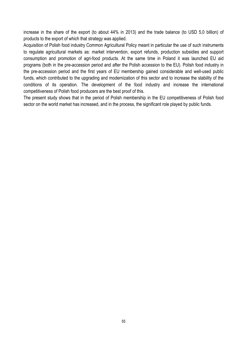increase in the share of the export (to about 44% in 2013) and the trade balance (to USD 5,0 billion) of products to the export of which that strategy was applied.

Acquisition of Polish food industry Common Agricultural Policy meant in particular the use of such instruments to regulate agricultural markets as: market intervention, export refunds, production subsidies and support consumption and promotion of agri-food products. At the same time in Poland it was launched EU aid programs (both in the pre-accession period and after the Polish accession to the EU). Polish food industry in the pre-accession period and the first years of EU membership gained considerable and well-used public funds, which contributed to the upgrading and modernization of this sector and to increase the stability of the conditions of its operation. The development of the food industry and increase the international competitiveness of Polish food producers are the best proof of this.

The present study shows that in the period of Polish membership in the EU competitiveness of Polish food sector on the world market has increased, and in the process, the significant role played by public funds.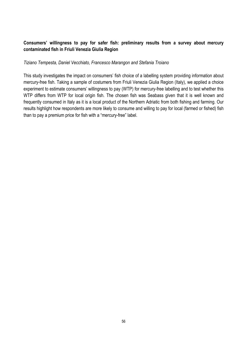# **Consumers' willingness to pay for safer fish: preliminary results from a survey about mercury contaminated fish in Friuli Venezia Giulia Region**

#### *Tiziano Tempesta, Daniel Vecchiato, Francesco Marangon and Stefania Troiano*

This study investigates the impact on consumers' fish choice of a labelling system providing information about mercury-free fish. Taking a sample of costumers from Friuli Venezia Giulia Region (Italy), we applied a choice experiment to estimate consumers' willingness to pay (WTP) for mercury-free labelling and to test whether this WTP differs from WTP for local origin fish. The chosen fish was Seabass given that it is well known and frequently consumed in Italy as it is a local product of the Northern Adriatic from both fishing and farming. Our results highlight how respondents are more likely to consume and willing to pay for local (farmed or fished) fish than to pay a premium price for fish with a "mercury-free" label.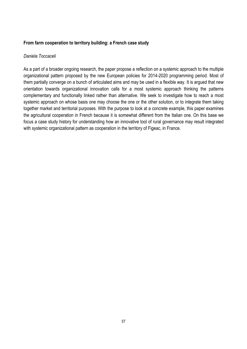## **From farm cooperation to territory building: a French case study**

#### *Daniela Toccaceli*

As a part of a broader ongoing research, the paper propose a reflection on a systemic approach to the multiple organizational pattern proposed by the new European policies for 2014-2020 programming period. Most of them partially converge on a bunch of articulated aims and may be used in a flexible way. It is argued that new orientation towards organizational innovation calls for a most systemic approach thinking the patterns complementary and functionally linked rather than alternative. We seek to investigate how to reach a most systemic approach on whose basis one may choose the one or the other solution, or to integrate them taking together market and territorial purposes. With the purpose to look at a concrete example, this paper examines the agricultural cooperation in French because it is somewhat different from the Italian one. On this base we focus a case study history for understanding how an innovative tool of rural governance may result integrated with systemic organizational pattern as cooperation in the territory of Figeac, in France.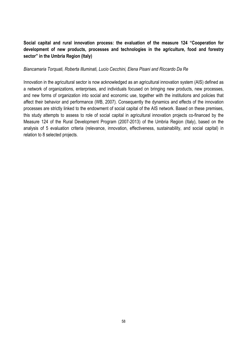# **Social capital and rural innovation process: the evaluation of the measure 124 "Cooperation for development of new products, processes and technologies in the agriculture, food and forestry sector" in the Umbria Region (Italy)**

#### *Biancamaria Torquati, Roberta Illuminati, Lucio Cecchini, Elena Pisani and Riccardo Da Re*

Innovation in the agricultural sector is now acknowledged as an agricultural innovation system (AIS) defined as a network of organizations, enterprises, and individuals focused on bringing new products, new processes, and new forms of organization into social and economic use, together with the institutions and policies that affect their behavior and performance (WB, 2007). Consequently the dynamics and effects of the innovation processes are strictly linked to the endowment of social capital of the AIS network. Based on these premises, this study attempts to assess to role of social capital in agricultural innovation projects co-financed by the Measure 124 of the Rural Development Program (2007-2013) of the Umbria Region (Italy), based on the analysis of 5 evaluation criteria (relevance, innovation, effectiveness, sustainability, and social capital) in relation to 8 selected projects.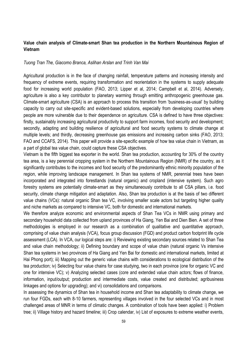## **Value chain analysis of Climate-smart Shan tea production in the Northern Mountainous Region of Vietnam**

#### *Tuong Tran The, Giacomo Branca, Aslihan Arslan and Trinh Van Mai*

Agricultural production is in the face of changing rainfall, temperature patterns and increasing intensity and frequency of extreme events, requiring transformation and reorientation in the systems to supply adequate food for increasing world population (FAO, 2013; Lipper et al, 2014; Campbell et al, 2014). Adversely, agriculture is also a key contributor to planetary warming through emitting anthropogenic greenhouse gas. Climate-smart agriculture (CSA) is an approach to process this transition from 'business-as-usual' by building capacity to carry out site-specific and evident-based solutions, especially from developing countries where people are more vulnerable due to their dependence on agriculture. CSA is defined to have three objectives: firstly, sustainably increasing agricultural productivity to support farm incomes, food security and development; secondly, adapting and building resilience of agricultural and food security systems to climate change at multiple levels; and thirdly, decreasing greenhouse gas emissions and increasing carbon sinks (FAO, 2013; FAO and CCAFS, 2014). This paper will provide a site-specific example of how tea value chain in Vietnam, as a part of global tea value chain, could capture these CSA objectives.

Vietnam is the fifth biggest tea exporter in the world. Shan tea production, accounting for 30% of the country tea area, is a key perennial cropping system in the Northern Mountainous Region (NMR) of the country, as it significantly contributes to the incomes and food security of the predominantly ethnic minority population of the region, while improving landscape management. In Shan tea systems of NMR, perennial trees have been incorporated and integrated into forestlands (natural organic) and cropland (intensive system). Such agro forestry systems are potentially climate-smart as they simultaneously contribute to all CSA pillars, i.e. food security, climate change mitigation and adaptation. Also, Shan tea production is at the basis of two different value chains (VCs): natural organic Shan tea VC, involving smaller scale actors but targeting higher quality and niche markets as compared to intensive VC, both for domestic and international markets.

We therefore analyze economic and environmental aspects of Shan Tea VCs in NMR using primary and secondary household data collected from upland provinces of Ha Giang, Yen Bai and Dien Bien. A set of three methodologies is employed in our research as a combination of qualitative and quantitative approach, comprising of value chain analysis (VCA), focus group discussion (FGD) and product carbon footprint life cycle assessment (LCA). In VCA, our logical steps are: i) Reviewing existing secondary sources related to Shan Tea and value chain methodology; ii) Defining boundary and scope of value chain (natural organic Vs intensive Shan tea systems in two provinces of Ha Giang and Yen Bai for domestic and international markets, limited at Hai Phong port); iii) Mapping out the generic value chains with considerations to ecological distribution of the tea production; iv) Selecting four value chains for case studying, two in each province (one for organic VC and one for intensive VC); v) Analyzing selected cases (core and extended value chain actors; flows of finance, information, input/output; production and intermediate costs, value created and distributed; agribusiness linkages and options for upgrading); and vi) consolidations and comparisons.

In assessing the dynamics of Shan tea in household income and Shan tea adaptability to climate change, we run four FGDs, each with 8-10 farmers, representing villages involved in the four selected VCs and in most challenged areas of MNR in terms of climatic changes. A combination of tools have been applied: i) Problem tree; ii) Village history and hazard timeline; iii) Crop calendar, iv) List of exposures to extreme weather events,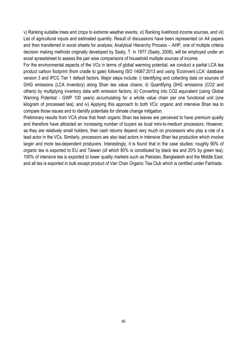v) Ranking suitable trees and crops to extreme weather events, vi) Ranking livelihood income sources, and vii) List of agricultural inputs and estimated quantity. Result of discussions have been represented on A4 papers and then transferred in excel sheets for analysis; Analytical Hierarchy Process – AHP, one of multiple criteria decision making methods originally developed by Saaty, T. in 1977 (Saaty, 2008), will be employed under an excel spreadsheet to assess the pair wise comparisons of household multiple sources of income.

For the environmental aspects of the VCs in terms of global warming potential, we conduct a partial LCA tea product carbon footprint (from cradle to gate) following ISO 14067:2013 and using 'Ecoinvent LCA' database version 3 and IPCC Tier 1 default factors. Major steps include: i) Identifying and collecting data on sources of GHG emissions (LCA Inventory) along Shan tea value chains; ii) Quantifying GHG emissions (CO2 and others) by multiplying inventory data with emission factors; iii) Converting into CO2 equivalent (using Global Warning Potential - GWP 100 years) accumulating for a whole value chain per one functional unit (one kilogram of processed tea); and iv) Applying this approach to both VCs: organic and intensive Shan tea to compare those issues and to identify potentials for climate change mitigation.

Preliminary results from VCA show that fresh organic Shan tea leaves are perceived to have premium quality and therefore have attracted an increasing number of buyers as local mini-to-medium processors. However, as they are relatively small holders, their cash returns depend very much on processors who play a role of a lead actor in the VCs. Similarly, processors are also lead actors in intensive Shan tea production which involve larger and more tea-dependent producers. Interestingly, it is found that in the case studies: roughly 90% of organic tea is exported to EU and Taiwan (of which 80% is constituted by black tea and 20% by green tea); 100% of intensive tea is exported to lower quality markets such as Pakistan, Bangladesh and the Middle East; and all tea is exported in bulk except product of Van Chan Organic Tea Club which is certified under Fairtrade.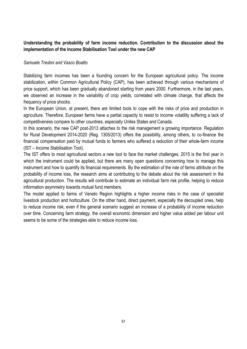# **Understanding the probability of farm income reduction. Contribution to the discussion about the implementation of the Income Stabilisation Tool under the new CAP**

## *Samuele Trestini and Vasco Boatto*

Stabilizing farm incomes has been a founding concern for the European agricultural policy. The income stabilization, within Common Agricultural Policy (CAP), has been achieved through various mechanisms of price support, which has been gradually abandoned starting from years 2000. Furthermore, in the last years, we observed an increase in the variability of crop yields, correlated with climate change, that affects the frequency of price shocks.

In the European Union, at present, there are limited tools to cope with the risks of price and production in agriculture. Therefore, European farms have a partial capacity to resist to income volatility suffering a lack of competitiveness compare to other countries, especially Unites States and Canada.

In this scenario, the new CAP post-2013 attaches to the risk management a growing importance. Regulation for Rural Development 2014-2020 (Reg. 1305/2013) offers the possibility, among others, to co-finance the financial compensation paid by mutual funds to farmers who suffered a reduction of their whole-farm income (IST – Income Stabilisation Tool).

The IST offers to most agricultural sectors a new tool to face the market challenges. 2015 is the first year in which the instrument could be applied, but there are many open questions concerning how to manage this instrument and how to quantify its financial requirements. By the estimation of the role of farms attribute on the probability of income loss, the research aims at contributing to the debate about the risk assessment in the agricultural production. The results will contribute to estimate an individual farm risk profile, helping to reduce information asymmetry towards mutual fund members.

The model applied to farms of Veneto Region highlights a higher income risks in the case of specialist livestock production and horticulture. On the other hand, direct payment, especially the decoupled ones, help to reduce income risk, even if the general scenario suggest an increase of a probability of income reduction over time. Concerning farm strategy, the overall economic dimension and higher value added per labour unit seems to be some of the strategies able to reduce income loss.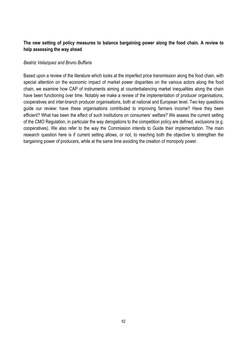# **The new setting of policy measures to balance bargaining power along the food chain. A review to help assessing the way ahead**

#### *Beatriz Velazquez and Bruno Buffaria*

Based upon a review of the literature which looks at the imperfect price transmission along the food chain, with special attention on the economic impact of market power disparities on the various actors along the food chain, we examine how CAP of instruments aiming at counterbalancing market inequalities along the chain have been functioning over time. Notably we make a review of the implementation of producer organisations, cooperatives and inter-branch producer organisations, both at national and European level. Two key questions guide our review: have these organisations contributed to improving farmers income? Have they been efficient? What has been the effect of such institutions on consumers' welfare? We assess the current setting of the CMO Regulation, in particular the way derogations to the competition policy are defined, exclusions (e.g. cooperatives). We also refer to the way the Commission intends to Guide their implementation. The main research question here is if current setting allows, or not, to reaching both the objective to strengthen the bargaining power of producers, while at the same time avoiding the creation of monopoly power.